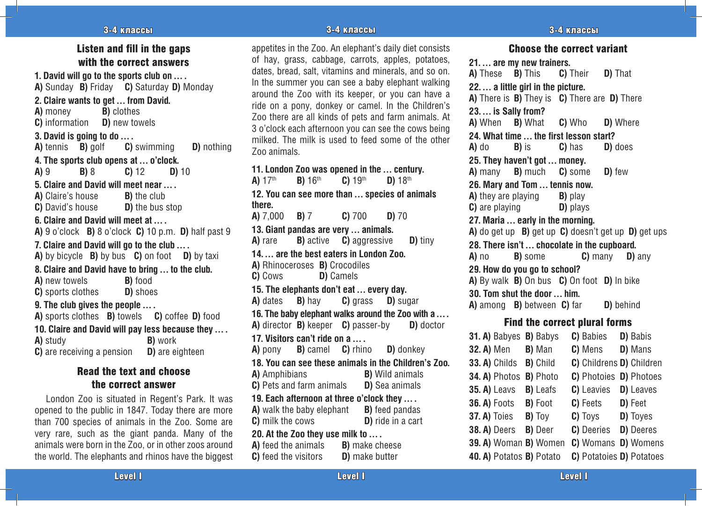#### 3-4 классы - 4 эр элемент - 4 эр элемент - 3-4 классы - 4 эр элемент - 4 эр элемент - 4 эр элемент - 3-4 классы

# Listen and fill in the gaps with the correct answers

**1. David will go to the sports club on … . A)** Sunday **B)** Friday **C)** Saturday **D)** Monday

#### **2. Claire wants to get … from David.**

**A)** money **B)** clothes

**C)** information **D)** new towels

#### **3. David is going to do … .**

**A)** tennis **B)** golf **C)** swimming **D)** nothing **4. The sports club opens at … o'clock.**

**A)** 9 **B)** 8 **C)** 12 **D)** 10

#### **5. Claire and David will meet near … .**

**A)** Claire's house **B)** the club **C)** David's house **D)** the bus stop

#### **6. Claire and David will meet at … .**

**A)** 9 o'clock **B)** 8 o'clock **C)** 10 p.m. **D)** half past 9

#### **7. Claire and David will go to the club … .**

**A)** by bicycle **B)** by bus **C)** on foot **D)** by taxi

**8. Claire and David have to bring … to the club. A)** new towels **B)** food

**C)** sports clothes **D)** shoes

#### **9. The club gives the people … .**

**A)** sports clothes **B)** towels **C)** coffee **D)** food **10. Claire and David will pay less because they … . A)** study **B)** work **C**) are receiving a pension **D**) are eighteen

# Read the text and choose the correct answer

London Zoo is situated in Regent's Park. It was opened to the public in 1847. Today there are more than 700 species of animals in the Zoo. Some are very rare, such as the giant panda. Many of the animals were born in the Zoo, or in other zoos around the world. The elephants and rhinos have the biggest appetites in the Zoo. An elephant's daily diet consists of hay, grass, cabbage, carrots, apples, potatoes, dates, bread, salt, vitamins and minerals, and so on. In the summer you can see a baby elephant walking around the Zoo with its keeper, or you can have a ride on a pony, donkey or camel. In the Children's

Zoo there are all kinds of pets and farm animals. At 3 o'clock each afternoon you can see the cows being milked. The milk is used to feed some of the other Zoo animals.

#### **11. London Zoo was opened in the … century. A)** 17th **B)** 16th **C)** 19th **D)** 18th

**12. You can see more than … species of animals there.**

**A)** 7,000 **B)** 7 **C)** 700 **D)** 70

**13. Giant pandas are very … animals. A)** rare **B)** active **C)** aggressive **D)** tiny **14. … are the best eaters in London Zoo. A)** Rhinoceroses **B)** Crocodiles **C)** Cows **D)** Camels **15. The elephants don't eat … every day. A)** dates **B)** hay **C)** grass **D)** sugar

**16. The baby elephant walks around the Zoo with a … . A)** director **B)** keeper **C)** passer-by **D)** doctor

**17. Visitors can't ride on a … .**

#### **A)** pony **B)** camel **C)** rhino **D)** donkey **18. You can see these animals in the Children's Zoo. A)** Amphibians **B)** Wild animals

**C)** Pets and farm animals **D)** Sea animals

**19. Each afternoon at three o'clock they … .**

**A)** walk the baby elephant **B**) feed pandas **C**) milk the cows **D**) ride in a cart

# **20. At the Zoo they use milk to … .**

**A)** feed the animals **B)** make cheese **C**) feed the visitors **D**) make butter

#### Choose the correct variant

**21. … are my new trainers. A)** These **B)** This **C)** Their **D)** That **22. … a little girl in the picture. A)** There is **B)** They is **C)** There are **D)** There **23. … is Sally from? A)** When **B)** What **C)** Who **D)** Where **24. What time … the first lesson start? A)** do **B)** is **C)** has **D)** does **25. They haven't got … money. A)** many **B)** much **C)** some **D)** few **26. Mary and Tom … tennis now. A)** they are playing **B)** play **C**) are playing **D**) plays **27. Maria … early in the morning. A)** do get up **B)** get up **C)** doesn't get up **D)** get ups **28. There isn't … chocolate in the cupboard. A)** no **B)** some **C)** many **D)** any **29. How do you go to school? A)** By walk **B)** On bus **C)** On foot **D)** In bike **30. Tom shut the door … him. A)** among **B)** between **C)** far **D)** behind Find the correct plural forms

**31. A)** Babyes **B)** Babys **C)** Babies **D)** Babis **32. A)** Men **B)** Man **C)** Mens **D)** Mans **33. A)** Childs **B)** Child **C)** Childrens **D)** Children **34. A)** Photos **B)** Photo **C)** Photoies **D)** Photoes **35. A)** Leavs **B)** Leafs **C)** Leavies **D)** Leaves **36. A)** Foots **B)** Foot **C)** Feets **D)** Feet **37. A)** Toies **B)** Toy **C)** Toys **D)** Toyes **38. A)** Deers **B)** Deer **C)** Deeries **D)** Deeres **39. A)** Woman **B)** Women **C)** Womans **D)** Womens **40. A)** Potatos **B)** Potato **C)** Potatoies **D)** Potatoes